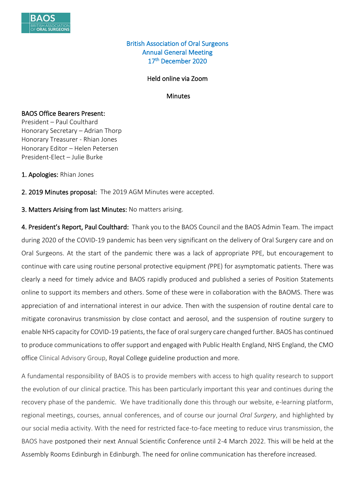

## British Association of Oral Surgeons Annual General Meeting 17th December 2020

### Held online via Zoom

**Minutes** 

#### BAOS Office Bearers Present:

President – Paul Coulthard Honorary Secretary – Adrian Thorp Honorary Treasurer - Rhian Jones Honorary Editor – Helen Petersen President-Elect – Julie Burke

1. Apologies: Rhian Jones

2. 2019 Minutes proposal: The 2019 AGM Minutes were accepted.

3. Matters Arising from last Minutes: No matters arising.

4. President's Report, Paul Coulthard: Thank you to the BAOS Council and the BAOS Admin Team. The impact during 2020 of the COVID-19 pandemic has been very significant on the delivery of Oral Surgery care and on Oral Surgeons. At the start of the pandemic there was a lack of appropriate PPE, but encouragement to continue with care using routine personal protective equipment *(*PPE) for asymptomatic patients. There was clearly a need for timely advice and BAOS rapidly produced and published a series of Position Statements online to support its members and others. Some of these were in collaboration with the BAOMS. There was appreciation of and international interest in our advice. Then with the suspension of routine dental care to mitigate coronavirus transmission by close contact and aerosol, and the suspension of routine surgery to enable NHS capacity for COVID-19 patients, the face of oral surgery care changed further. BAOS has continued to produce communications to offer support and engaged with Public Health England, NHS England, the CMO office Clinical Advisory Group, Royal College guideline production and more.

A fundamental responsibility of BAOS is to provide members with access to high quality research to support the evolution of our clinical practice. This has been particularly important this year and continues during the recovery phase of the pandemic. We have traditionally done this through our website, e-learning platform, regional meetings, courses, annual conferences, and of course our journal *Oral Surgery*, and highlighted by our social media activity. With the need for restricted face-to-face meeting to reduce virus transmission, the BAOS have postponed their next Annual Scientific Conference until 2-4 March 2022. This will be held at the Assembly Rooms Edinburgh in Edinburgh. The need for online communication has therefore increased.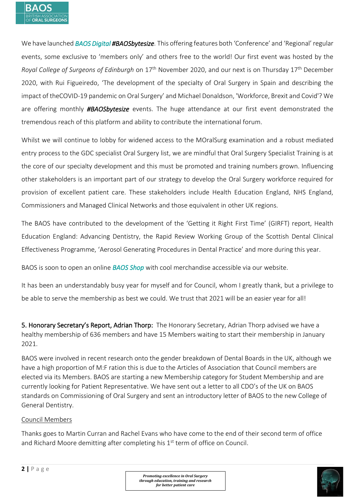

We have launched *BAOS Digital #BAOSbytesize.* This offering features both 'Conference' and 'Regional' regular events, some exclusive to 'members only' and others free to the world! Our first event was hosted by the *Royal College of Surgeons of Edinburgh* on 17th November 2020, and our next is on Thursday 17th December 2020, with Rui Figueiredo, 'The development of the specialty of Oral Surgery in Spain and describing the impact of theCOVID-19 pandemic on Oral Surgery' and Michael Donaldson, 'Workforce, Brexit and Covid'? We are offering monthly *#BAOSbytesize* events. The huge attendance at our first event demonstrated the tremendous reach of this platform and ability to contribute the international forum.

Whilst we will continue to lobby for widened access to the MOralSurg examination and a robust mediated entry process to the GDC specialist Oral Surgery list, we are mindful that Oral Surgery Specialist Training is at the core of our specialty development and this must be promoted and training numbers grown. Influencing other stakeholders is an important part of our strategy to develop the Oral Surgery workforce required for provision of excellent patient care. These stakeholders include Health Education England, NHS England, Commissioners and Managed Clinical Networks and those equivalent in other UK regions.

The BAOS have contributed to the development of the 'Getting it Right First Time' (GIRFT) report, Health Education England: Advancing Dentistry, the Rapid Review Working Group of the Scottish Dental Clinical Effectiveness Programme, 'Aerosol Generating Procedures in Dental Practice' and more during this year.

BAOS is soon to open an online *BAOS Shop* with cool merchandise accessible via our website.

It has been an understandably busy year for myself and for Council, whom I greatly thank, but a privilege to be able to serve the membership as best we could. We trust that 2021 will be an easier year for all!

5. Honorary Secretary's Report, Adrian Thorp: The Honorary Secretary, Adrian Thorp advised we have a healthy membership of 636 members and have 15 Members waiting to start their membership in January 2021.

BAOS were involved in recent research onto the gender breakdown of Dental Boards in the UK, although we have a high proportion of M:F ration this is due to the Articles of Association that Council members are elected via its Members. BAOS are starting a new Membership category for Student Membership and are currently looking for Patient Representative. We have sent out a letter to all CDO's of the UK on BAOS standards on Commissioning of Oral Surgery and sent an introductory letter of BAOS to the new College of General Dentistry.

### Council Members

Thanks goes to Martin Curran and Rachel Evans who have come to the end of their second term of office and Richard Moore demitting after completing his  $1<sup>st</sup>$  term of office on Council.